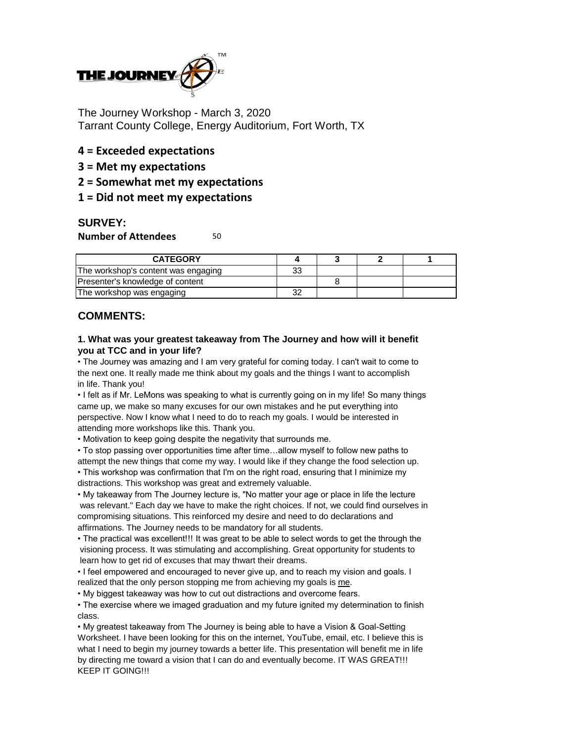

The Journey Workshop - March 3, 2020 Tarrant County College, Energy Auditorium, Fort Worth, TX

# **4 = Exceeded expectations**

- **3 = Met my expectations**
- **2 = Somewhat met my expectations**

## **1 = Did not meet my expectations**

### **SURVEY:**

#### **Number of Attendees** 50

| <b>CATEGORY</b>                     |          |  |  |
|-------------------------------------|----------|--|--|
| The workshop's content was engaging | วว<br>ບບ |  |  |
| Presenter's knowledge of content    |          |  |  |
| The workshop was engaging           |          |  |  |

## **COMMENTS:**

#### **1. What was your greatest takeaway from The Journey and how will it benefit you at TCC and in your life?**

• The Journey was amazing and I am very grateful for coming today. I can't wait to come to the next one. It really made me think about my goals and the things I want to accomplish in life. Thank you!

• I felt as if Mr. LeMons was speaking to what is currently going on in my life! So many things came up, we make so many excuses for our own mistakes and he put everything into perspective. Now I know what I need to do to reach my goals. I would be interested in attending more workshops like this. Thank you.

• Motivation to keep going despite the negativity that surrounds me.

• To stop passing over opportunities time after time…allow myself to follow new paths to attempt the new things that come my way. I would like if they change the food selection up.

• This workshop was confirmation that I'm on the right road, ensuring that I minimize my distractions. This workshop was great and extremely valuable.

• My takeaway from The Journey lecture is, "No matter your age or place in life the lecture was relevant." Each day we have to make the right choices. If not, we could find ourselves in compromising situations. This reinforced my desire and need to do declarations and affirmations. The Journey needs to be mandatory for all students.

• The practical was excellent!!! It was great to be able to select words to get the through the visioning process. It was stimulating and accomplishing. Great opportunity for students to learn how to get rid of excuses that may thwart their dreams.

• I feel empowered and encouraged to never give up, and to reach my vision and goals. I realized that the only person stopping me from achieving my goals is me.

• My biggest takeaway was how to cut out distractions and overcome fears.

• The exercise where we imaged graduation and my future ignited my determination to finish class.

• My greatest takeaway from The Journey is being able to have a Vision & Goal-Setting Worksheet. I have been looking for this on the internet, YouTube, email, etc. I believe this is what I need to begin my journey towards a better life. This presentation will benefit me in life by directing me toward a vision that I can do and eventually become. IT WAS GREAT!!! KEEP IT GOING!!!